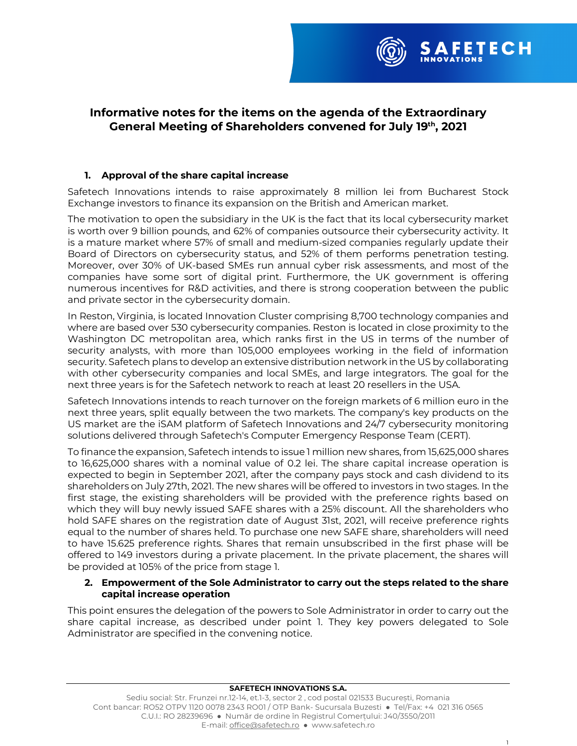

# **Informative notes for the items on the agenda of the Extraordinary General Meeting of Shareholders convened for July 19th, 2021**

## **1. Approval of the share capital increase**

Safetech Innovations intends to raise approximately 8 million lei from Bucharest Stock Exchange investors to finance its expansion on the British and American market.

The motivation to open the subsidiary in the UK is the fact that its local cybersecurity market is worth over 9 billion pounds, and 62% of companies outsource their cybersecurity activity. It is a mature market where 57% of small and medium-sized companies regularly update their Board of Directors on cybersecurity status, and 52% of them performs penetration testing. Moreover, over 30% of UK-based SMEs run annual cyber risk assessments, and most of the companies have some sort of digital print. Furthermore, the UK government is offering numerous incentives for R&D activities, and there is strong cooperation between the public and private sector in the cybersecurity domain.

In Reston, Virginia, is located Innovation Cluster comprising 8,700 technology companies and where are based over 530 cybersecurity companies. Reston is located in close proximity to the Washington DC metropolitan area, which ranks first in the US in terms of the number of security analysts, with more than 105,000 employees working in the field of information security. Safetech plans to develop an extensive distribution network in the US by collaborating with other cybersecurity companies and local SMEs, and large integrators. The goal for the next three years is for the Safetech network to reach at least 20 resellers in the USA.

Safetech Innovations intends to reach turnover on the foreign markets of 6 million euro in the next three years, split equally between the two markets. The company's key products on the US market are the iSAM platform of Safetech Innovations and 24/7 cybersecurity monitoring solutions delivered through Safetech's Computer Emergency Response Team (CERT).

To finance the expansion, Safetech intends to issue 1 million new shares, from 15,625,000 shares to 16,625,000 shares with a nominal value of 0.2 lei. The share capital increase operation is expected to begin in September 2021, after the company pays stock and cash dividend to its shareholders on July 27th, 2021. The new shares will be offered to investors in two stages. In the first stage, the existing shareholders will be provided with the preference rights based on which they will buy newly issued SAFE shares with a 25% discount. All the shareholders who hold SAFE shares on the registration date of August 31st, 2021, will receive preference rights equal to the number of shares held. To purchase one new SAFE share, shareholders will need to have 15.625 preference rights. Shares that remain unsubscribed in the first phase will be offered to 149 investors during a private placement. In the private placement, the shares will be provided at 105% of the price from stage 1.

#### **2. Empowerment of the Sole Administrator to carry out the steps related to the share capital increase operation**

This point ensures the delegation of the powers to Sole Administrator in order to carry out the share capital increase, as described under point 1. They key powers delegated to Sole Administrator are specified in the convening notice.